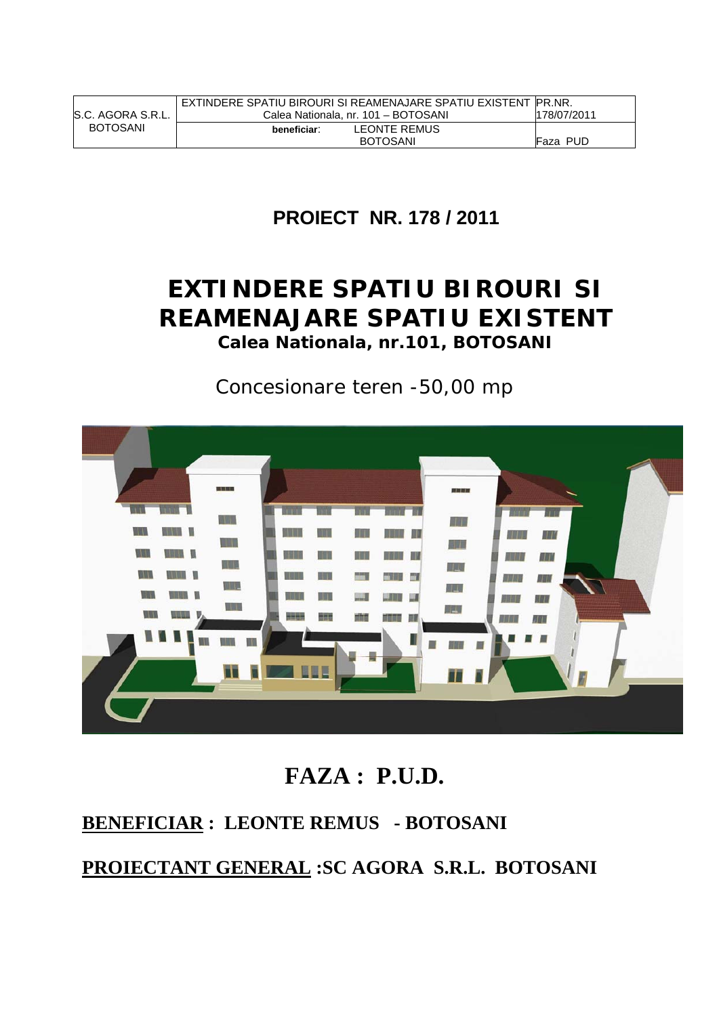|                   | EXTINDERE SPATIU BIROURI SI REAMENAJARE SPATIU EXISTENT PR.NR. |             |
|-------------------|----------------------------------------------------------------|-------------|
| S.C. AGORA S.R.L. | Calea Nationala, nr. 101 - BOTOSANI                            | 178/07/2011 |
| <b>BOTOSANI</b>   | LEONTE REMUS<br>beneficiar:                                    |             |
|                   | <b>BOTOSANI</b>                                                | Faza PUD    |

### **PROIECT NR. 178 / 2011**

### **EXTINDERE SPATIU BIROURI SI REAMENAJARE SPATIU EXISTENT Calea Nationala, nr.101, BOTOSANI**

Concesionare teren -50,00 mp



### **FAZA : P.U.D.**

#### **BENEFICIAR : LEONTE REMUS - BOTOSANI**

**PROIECTANT GENERAL :SC AGORA S.R.L. BOTOSANI**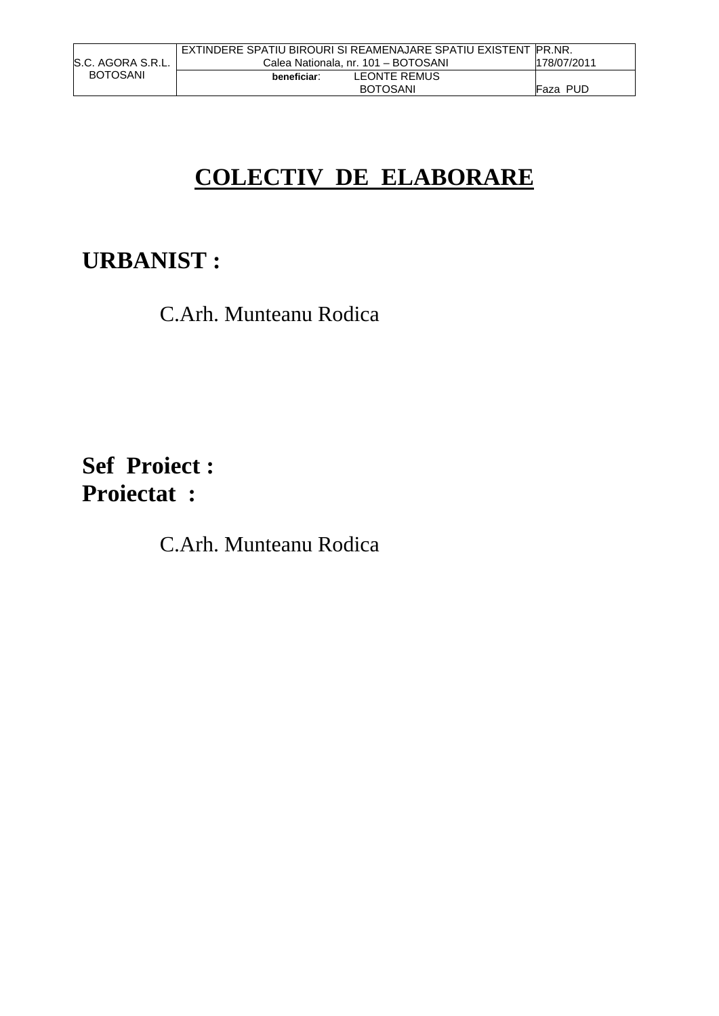|                    |                                     | I EXTINDERE SPATIU BIROURI SI REAMENAJARE SPATIU EXISTENT IPR.NR. |             |
|--------------------|-------------------------------------|-------------------------------------------------------------------|-------------|
| lS.C. AGORA S.R.L. | Calea Nationala, nr. 101 - BOTOSANI |                                                                   | 178/07/2011 |
| <b>BOTOSANI</b>    | beneficiar:                         | LEONTE REMUS                                                      |             |
|                    |                                     | <b>BOTOSANI</b>                                                   | Faza PUD    |

# **COLECTIV DE ELABORARE**

# **URBANIST :**

C.Arh. Munteanu Rodica

# **Sef Proiect : Proiectat :**

C.Arh. Munteanu Rodica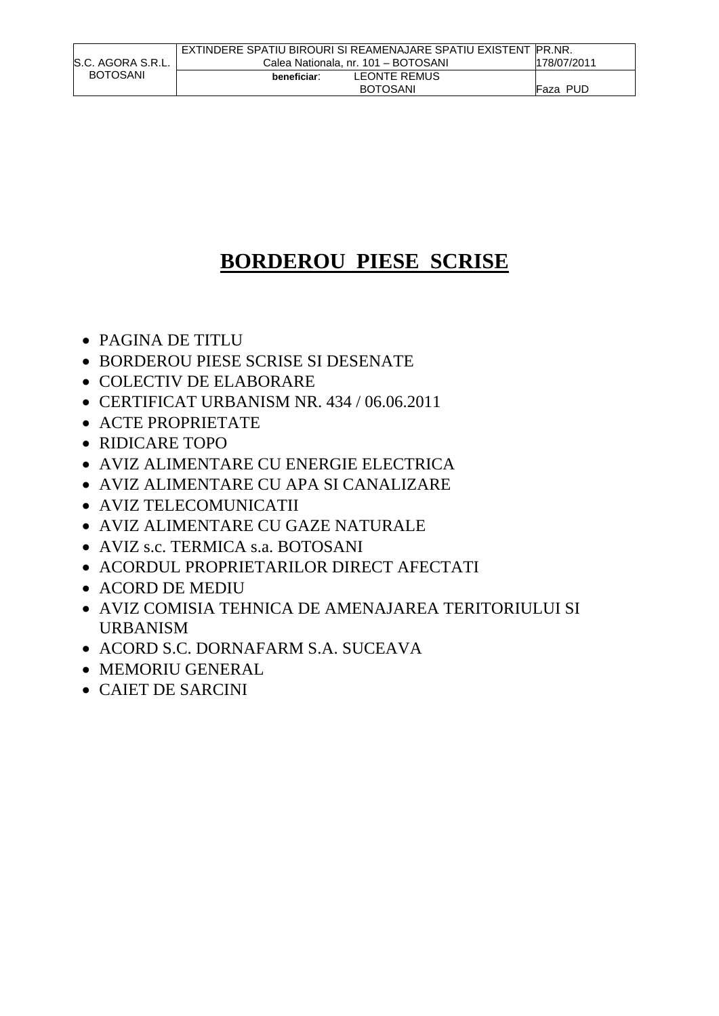|                    | EXTINDERE SPATIU BIROURI SI REAMENAJARE SPATIU EXISTENT IPR.NR. |             |  |  |
|--------------------|-----------------------------------------------------------------|-------------|--|--|
| IS.C. AGORA S.R.L. | Calea Nationala, nr. 101 - BOTOSANI                             | 178/07/2011 |  |  |
| <b>BOTOSANI</b>    | LEONTE REMUS<br>beneficiar:                                     |             |  |  |
|                    | <b>BOTOSANI</b>                                                 | Faza PUD    |  |  |

### **BORDEROU PIESE SCRISE**

- PAGINA DE TITLU
- BORDEROU PIESE SCRISE SI DESENATE
- COLECTIV DE ELABORARE
- CERTIFICAT URBANISM NR. 434 / 06.06.2011
- ACTE PROPRIETATE
- RIDICARE TOPO
- AVIZ ALIMENTARE CU ENERGIE ELECTRICA
- AVIZ ALIMENTARE CU APA SI CANALIZARE
- AVIZ TELECOMUNICATII
- AVIZ ALIMENTARE CU GAZE NATURALE
- AVIZ s.c. TERMICA s.a. BOTOSANI
- ACORDUL PROPRIETARILOR DIRECT AFECTATI
- ACORD DE MEDIU
- AVIZ COMISIA TEHNICA DE AMENAJAREA TERITORIULUI SI URBANISM
- ACORD S.C. DORNAFARM S.A. SUCEAVA
- MEMORIU GENERAL
- CAIET DE SARCINI